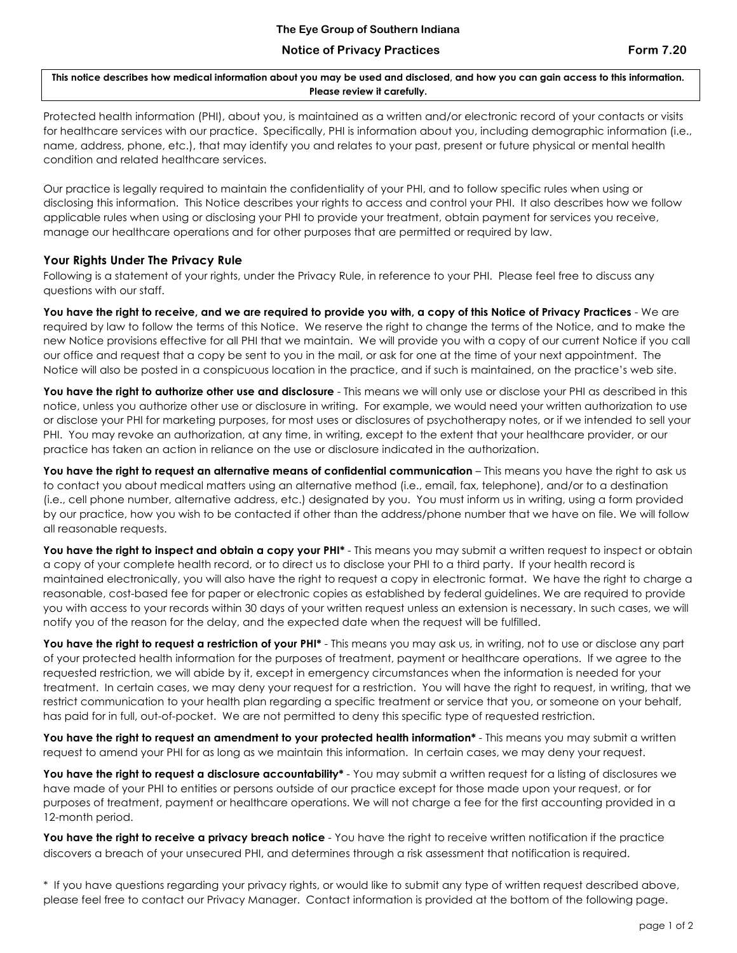## **Notice of Privacy Practices Form 7.20**

**This notice describes how medical information about you may be used and disclosed, and how you can gain access to this information. Please review it carefully.**

Protected health information (PHI), about you, is maintained as a written and/or electronic record of your contacts or visits for healthcare services with our practice. Specifically, PHI is information about you, including demographic information (i.e., name, address, phone, etc.), that may identify you and relates to your past, present or future physical or mental health condition and related healthcare services.

Our practice is legally required to maintain the confidentiality of your PHI, and to follow specific rules when using or disclosing this information. This Notice describes your rights to access and control your PHI. It also describes how we follow applicable rules when using or disclosing your PHI to provide your treatment, obtain payment for services you receive, manage our healthcare operations and for other purposes that are permitted or required by law.

## **Your Rights Under The Privacy Rule**

Following is a statement of your rights, under the Privacy Rule, in reference to your PHI. Please feel free to discuss any questions with our staff.

**You have the right to receive, and we are required to provide you with, a copy of this Notice of Privacy Practices** - We are required by law to follow the terms of this Notice. We reserve the right to change the terms of the Notice, and to make the new Notice provisions effective for all PHI that we maintain. We will provide you with a copy of our current Notice if you call our office and request that a copy be sent to you in the mail, or ask for one at the time of your next appointment. The Notice will also be posted in a conspicuous location in the practice, and if such is maintained, on the practice's web site.

You have the right to authorize other use and disclosure - This means we will only use or disclose your PHI as described in this notice, unless you authorize other use or disclosure in writing. For example, we would need your written authorization to use or disclose your PHI for marketing purposes, for most uses or disclosures of psychotherapy notes, or if we intended to sell your PHI. You may revoke an authorization, at any time, in writing, except to the extent that your healthcare provider, or our practice has taken an action in reliance on the use or disclosure indicated in the authorization.

**You have the right to request an alternative means of confidential communication** – This means you have the right to ask us to contact you about medical matters using an alternative method (i.e., email, fax, telephone), and/or to a destination (i.e., cell phone number, alternative address, etc.) designated by you. You must inform us in writing, using a form provided by our practice, how you wish to be contacted if other than the address/phone number that we have on file. We will follow all reasonable requests.

You have the right to inspect and obtain a copy your PHI<sup>\*</sup> - This means you may submit a written request to inspect or obtain a copy of your complete health record, or to direct us to disclose your PHI to a third party. If your health record is maintained electronically, you will also have the right to request a copy in electronic format. We have the right to charge a reasonable, cost-based fee for paper or electronic copies as established by federal guidelines. We are required to provide you with access to your records within 30 days of your written request unless an extension is necessary. In such cases, we will notify you of the reason for the delay, and the expected date when the request will be fulfilled.

You have the right to request a restriction of your PHI<sup>\*</sup> - This means you may ask us, in writing, not to use or disclose any part of your protected health information for the purposes of treatment, payment or healthcare operations. If we agree to the requested restriction, we will abide by it, except in emergency circumstances when the information is needed for your treatment. In certain cases, we may deny your request for a restriction. You will have the right to request, in writing, that we restrict communication to your health plan regarding a specific treatment or service that you, or someone on your behalf, has paid for in full, out-of-pocket. We are not permitted to deny this specific type of requested restriction.

**You have the right to request an amendment to your protected health information\*** - This means you may submit a written request to amend your PHI for as long as we maintain this information. In certain cases, we may deny your request.

You have the right to request a disclosure accountability\* - You may submit a written request for a listing of disclosures we have made of your PHI to entities or persons outside of our practice except for those made upon your request, or for purposes of treatment, payment or healthcare operations. We will not charge a fee for the first accounting provided in a 12-month period.

**You have the right to receive a privacy breach notice** - You have the right to receive written notification if the practice discovers a breach of your unsecured PHI, and determines through a risk assessment that notification is required.

\* If you have questions regarding your privacy rights, or would like to submit any type of written request described above, please feel free to contact our Privacy Manager. Contact information is provided at the bottom of the following page.